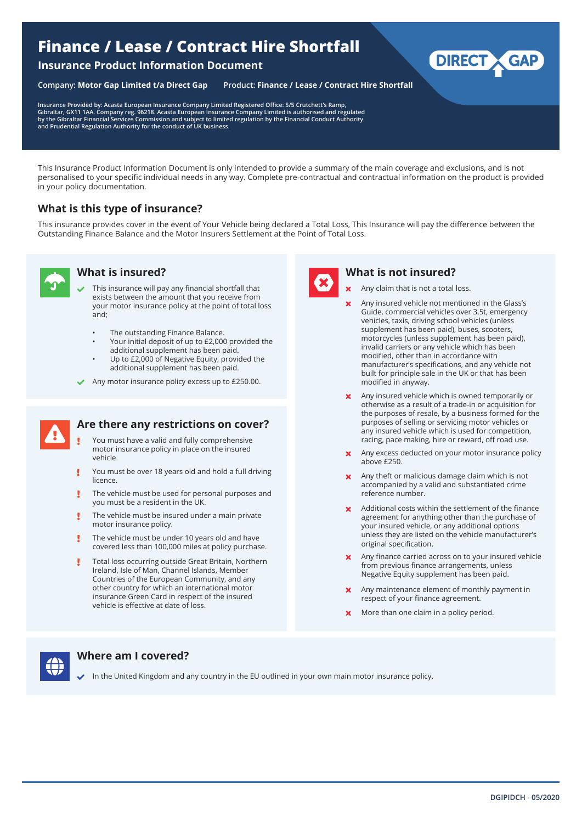# **Finance / Lease / Contract Hire Shortfall**

#### **Insurance Product Information Document**

**Company: Motor Gap Limited t/a Direct Gap Product: Finance / Lease / Contract Hire Shortfall**

**Insurance Provided by: Acasta European Insurance Company Limited Registered Office: 5/5 Crutchett's Ramp,**  Gibraltar, GX11 1AA. Company reg. 96218. Acasta European Insurance Company Limited is authorised and regulated<br>by the Gibraltar Financial Services Commission and subject to limited regulation by the Financial Conduct Autho

This Insurance Product Information Document is only intended to provide a summary of the main coverage and exclusions, and is not personalised to your specific individual needs in any way. Complete pre-contractual and contractual information on the product is provided in your policy documentation.

# **What is this type of insurance?**

This insurance provides cover in the event of Your Vehicle being declared a Total Loss, This Insurance will pay the difference between the Outstanding Finance Balance and the Motor Insurers Settlement at the Point of Total Loss.



# **What is insured?**

- This insurance will pay any financial shortfall that exists between the amount that you receive from your motor insurance policy at the point of total loss and;
	- The outstanding Finance Balance.
	- Your initial deposit of up to £2,000 provided the additional supplement has been paid.
	- Up to £2,000 of Negative Equity, provided the additional supplement has been paid.
- Any motor insurance policy excess up to £250.00.



#### **Are there any restrictions on cover?**

- You must have a valid and fully comprehensive motor insurance policy in place on the insured vehicle.
- You must be over 18 years old and hold a full driving Ţ licence.
- The vehicle must be used for personal purposes and Ţ you must be a resident in the UK.
- Ţ The vehicle must be insured under a main private motor insurance policy.
- Ţ The vehicle must be under 10 years old and have covered less than 100,000 miles at policy purchase.
- Total loss occurring outside Great Britain, Northern Ireland, Isle of Man, Channel Islands, Member Countries of the European Community, and any other country for which an international motor insurance Green Card in respect of the insured vehicle is effective at date of loss.



#### **What is not insured?**

- Any claim that is not a total loss.
- Any insured vehicle not mentioned in the Glass's Guide, commercial vehicles over 3.5t, emergency vehicles, taxis, driving school vehicles (unless supplement has been paid), buses, scooters, motorcycles (unless supplement has been paid), invalid carriers or any vehicle which has been modified, other than in accordance with manufacturer's specifications, and any vehicle not built for principle sale in the UK or that has been modified in anyway.

**DIRECT** 

- **x** Any insured vehicle which is owned temporarily or otherwise as a result of a trade-in or acquisition for the purposes of resale, by a business formed for the purposes of selling or servicing motor vehicles or any insured vehicle which is used for competition, racing, pace making, hire or reward, off road use.
- **x** Any excess deducted on your motor insurance policy above £250.
- **x** Any theft or malicious damage claim which is not accompanied by a valid and substantiated crime reference number.
- **x** Additional costs within the settlement of the finance agreement for anything other than the purchase of your insured vehicle, or any additional options unless they are listed on the vehicle manufacturer's original specification.
- Any finance carried across on to your insured vehicle from previous finance arrangements, unless Negative Equity supplement has been paid.
- Any maintenance element of monthly payment in respect of your finance agreement.
- **x** More than one claim in a policy period.



## **Where am I covered?**

In the United Kingdom and any country in the EU outlined in your own main motor insurance policy.